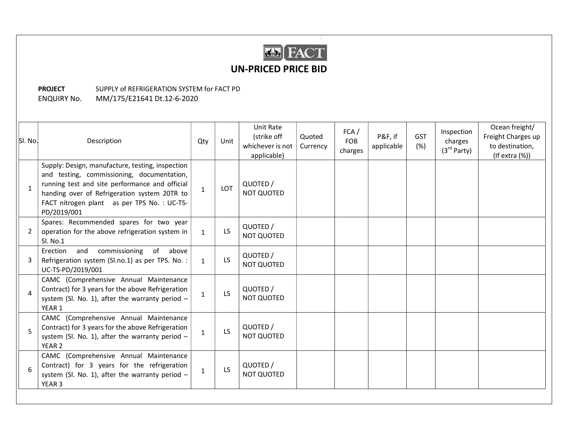

## UN-PRICED PRICE BID

## PROJECT SUPPLY of REFRIGERATION SYSTEM for FACT PD ENQUIRY No. MM/175/E21641 Dt.12-6-2020

| SI. No. | Description                                                                                                                                                                                                                                                   | Qty          | Unit | Unit Rate<br>(strike off<br>whichever is not<br>applicable) | Quoted<br>Currency | FCA/<br><b>FOB</b><br>charges | P&F, if<br>applicable | <b>GST</b><br>(%) | Inspection<br>charges<br>(3 <sup>rd</sup> Party) | Ocean freight/<br>Freight Charges up<br>to destination,<br>$($ If extra $(\%)$ |
|---------|---------------------------------------------------------------------------------------------------------------------------------------------------------------------------------------------------------------------------------------------------------------|--------------|------|-------------------------------------------------------------|--------------------|-------------------------------|-----------------------|-------------------|--------------------------------------------------|--------------------------------------------------------------------------------|
|         | Supply: Design, manufacture, testing, inspection<br>and testing, commissioning, documentation,<br>running test and site performance and official<br>handing over of Refrigeration system 20TR to<br>FACT nitrogen plant as per TPS No.: UC-TS-<br>PD/2019/001 | $\mathbf{1}$ | LOT  | QUOTED /<br><b>NOT QUOTED</b>                               |                    |                               |                       |                   |                                                  |                                                                                |
| 2       | Spares: Recommended spares for two year<br>operation for the above refrigeration system in<br>Sl. No.1                                                                                                                                                        | $\mathbf{1}$ | LS   | QUOTED /<br><b>NOT QUOTED</b>                               |                    |                               |                       |                   |                                                  |                                                                                |
|         | commissioning<br>of<br>Erection<br>and<br>above<br>Refrigeration system (Sl.no.1) as per TPS. No. :<br>UC-TS-PD/2019/001                                                                                                                                      | $\mathbf{1}$ | LS.  | QUOTED /<br><b>NOT QUOTED</b>                               |                    |                               |                       |                   |                                                  |                                                                                |
| 4       | CAMC (Comprehensive Annual Maintenance<br>Contract) for 3 years for the above Refrigeration<br>system (Sl. No. 1), after the warranty period $-$<br>YEAR 1                                                                                                    | $\mathbf{1}$ | LS.  | QUOTED /<br><b>NOT QUOTED</b>                               |                    |                               |                       |                   |                                                  |                                                                                |
| 5       | CAMC (Comprehensive Annual Maintenance<br>Contract) for 3 years for the above Refrigeration<br>system (Sl. No. 1), after the warranty period $-$<br>YEAR 2                                                                                                    | $\mathbf{1}$ | LS   | QUOTED /<br><b>NOT QUOTED</b>                               |                    |                               |                       |                   |                                                  |                                                                                |
| 6       | CAMC (Comprehensive Annual Maintenance<br>Contract) for 3 years for the refrigeration<br>system (Sl. No. 1), after the warranty period $-$<br>YEAR <sub>3</sub>                                                                                               | $\mathbf{1}$ | LS.  | QUOTED /<br><b>NOT QUOTED</b>                               |                    |                               |                       |                   |                                                  |                                                                                |
|         |                                                                                                                                                                                                                                                               |              |      |                                                             |                    |                               |                       |                   |                                                  |                                                                                |